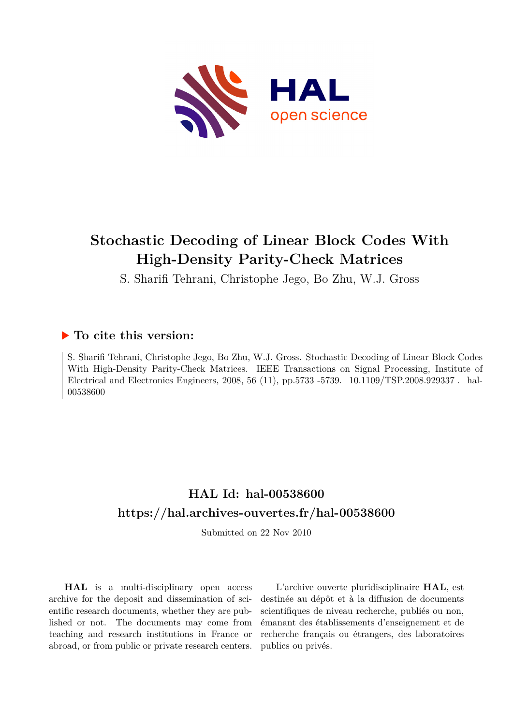

## **Stochastic Decoding of Linear Block Codes With High-Density Parity-Check Matrices**

S. Sharifi Tehrani, Christophe Jego, Bo Zhu, W.J. Gross

### **To cite this version:**

S. Sharifi Tehrani, Christophe Jego, Bo Zhu, W.J. Gross. Stochastic Decoding of Linear Block Codes With High-Density Parity-Check Matrices. IEEE Transactions on Signal Processing, Institute of Electrical and Electronics Engineers, 2008, 56 (11), pp.5733 -5739. 10.1109/TSP.2008.929337. hal-00538600

## **HAL Id: hal-00538600 <https://hal.archives-ouvertes.fr/hal-00538600>**

Submitted on 22 Nov 2010

**HAL** is a multi-disciplinary open access archive for the deposit and dissemination of scientific research documents, whether they are published or not. The documents may come from teaching and research institutions in France or abroad, or from public or private research centers.

L'archive ouverte pluridisciplinaire **HAL**, est destinée au dépôt et à la diffusion de documents scientifiques de niveau recherche, publiés ou non, émanant des établissements d'enseignement et de recherche français ou étrangers, des laboratoires publics ou privés.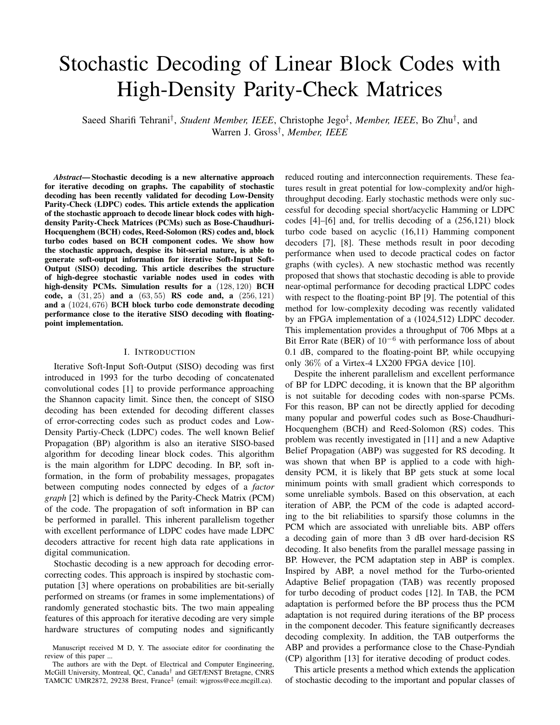# Stochastic Decoding of Linear Block Codes with High-Density Parity-Check Matrices

Saeed Sharifi Tehrani<sup>†</sup>, *Student Member, IEEE*, Christophe Jego<sup>‡</sup>, *Member, IEEE*, Bo Zhu<sup>†</sup>, and Warren J. Gross† , *Member, IEEE*

*Abstract***— Stochastic decoding is a new alternative approach for iterative decoding on graphs. The capability of stochastic decoding has been recently validated for decoding Low-Density Parity-Check (LDPC) codes. This article extends the application of the stochastic approach to decode linear block codes with highdensity Parity-Check Matrices (PCMs) such as Bose-Chaudhuri-Hocquenghem (BCH) codes, Reed-Solomon (RS) codes and, block turbo codes based on BCH component codes. We show how the stochastic approach, despise its bit-serial nature, is able to generate soft-output information for iterative Soft-Input Soft-Output (SISO) decoding. This article describes the structure of high-degree stochastic variable nodes used in codes with high-density PCMs. Simulation results for a** (128, 120) **BCH code, a** (31, 25) **and a** (63, 55) **RS code and, a** (256, 121) **and a** (1024, 676) **BCH block turbo code demonstrate decoding performance close to the iterative SISO decoding with floatingpoint implementation.**

#### I. INTRODUCTION

Iterative Soft-Input Soft-Output (SISO) decoding was first introduced in 1993 for the turbo decoding of concatenated convolutional codes [1] to provide performance approaching the Shannon capacity limit. Since then, the concept of SISO decoding has been extended for decoding different classes of error-correcting codes such as product codes and Low-Density Partiy-Check (LDPC) codes. The well known Belief Propagation (BP) algorithm is also an iterative SISO-based algorithm for decoding linear block codes. This algorithm is the main algorithm for LDPC decoding. In BP, soft information, in the form of probability messages, propagates between computing nodes connected by edges of a *factor graph* [2] which is defined by the Parity-Check Matrix (PCM) of the code. The propagation of soft information in BP can be performed in parallel. This inherent parallelism together with excellent performance of LDPC codes have made LDPC decoders attractive for recent high data rate applications in digital communication.

Stochastic decoding is a new approach for decoding errorcorrecting codes. This approach is inspired by stochastic computation [3] where operations on probabilities are bit-serially performed on streams (or frames in some implementations) of randomly generated stochastic bits. The two main appealing features of this approach for iterative decoding are very simple hardware structures of computing nodes and significantly

reduced routing and interconnection requirements. These features result in great potential for low-complexity and/or highthroughput decoding. Early stochastic methods were only successful for decoding special short/acyclic Hamming or LDPC codes [4]–[6] and, for trellis decoding of a (256,121) block turbo code based on acyclic (16,11) Hamming component decoders [7], [8]. These methods result in poor decoding performance when used to decode practical codes on factor graphs (with cycles). A new stochastic method was recently proposed that shows that stochastic decoding is able to provide near-optimal performance for decoding practical LDPC codes with respect to the floating-point BP [9]. The potential of this method for low-complexity decoding was recently validated by an FPGA implementation of a (1024,512) LDPC decoder. This implementation provides a throughput of 706 Mbps at a Bit Error Rate (BER) of 10<sup>−</sup><sup>6</sup> with performance loss of about 0.1 dB, compared to the floating-point BP, while occupying only 36% of a Virtex-4 LX200 FPGA device [10].

Despite the inherent parallelism and excellent performance of BP for LDPC decoding, it is known that the BP algorithm is not suitable for decoding codes with non-sparse PCMs. For this reason, BP can not be directly applied for decoding many popular and powerful codes such as Bose-Chaudhuri-Hocquenghem (BCH) and Reed-Solomon (RS) codes. This problem was recently investigated in [11] and a new Adaptive Belief Propagation (ABP) was suggested for RS decoding. It was shown that when BP is applied to a code with highdensity PCM, it is likely that BP gets stuck at some local minimum points with small gradient which corresponds to some unreliable symbols. Based on this observation, at each iteration of ABP, the PCM of the code is adapted according to the bit reliabilities to sparsify those columns in the PCM which are associated with unreliable bits. ABP offers a decoding gain of more than 3 dB over hard-decision RS decoding. It also benefits from the parallel message passing in BP. However, the PCM adaptation step in ABP is complex. Inspired by ABP, a novel method for the Turbo-oriented Adaptive Belief propagation (TAB) was recently proposed for turbo decoding of product codes [12]. In TAB, the PCM adaptation is performed before the BP process thus the PCM adaptation is not required during iterations of the BP process in the component decoder. This feature significantly decreases decoding complexity. In addition, the TAB outperforms the ABP and provides a performance close to the Chase-Pyndiah (CP) algorithm [13] for iterative decoding of product codes.

This article presents a method which extends the application of stochastic decoding to the important and popular classes of

Manuscript received M D, Y. The associate editor for coordinating the review of this paper ...

The authors are with the Dept. of Electrical and Computer Engineering, McGill University, Montreal, QC, Canada† and GET/ENST Bretagne, CNRS TAMCIC UMR2872, 29238 Brest, France‡ (email: wjgross@ece.mcgill.ca).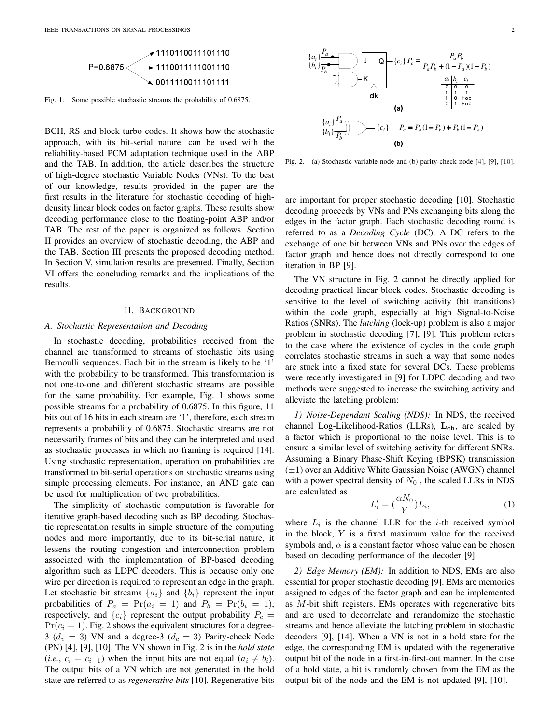

Fig. 1. Some possible stochastic streams the probability of 0.6875.

BCH, RS and block turbo codes. It shows how the stochastic approach, with its bit-serial nature, can be used with the reliability-based PCM adaptation technique used in the ABP and the TAB. In addition, the article describes the structure of high-degree stochastic Variable Nodes (VNs). To the best of our knowledge, results provided in the paper are the first results in the literature for stochastic decoding of highdensity linear block codes on factor graphs. These results show decoding performance close to the floating-point ABP and/or TAB. The rest of the paper is organized as follows. Section II provides an overview of stochastic decoding, the ABP and the TAB. Section III presents the proposed decoding method. In Section V, simulation results are presented. Finally, Section VI offers the concluding remarks and the implications of the results.

#### II. BACKGROUND

#### *A. Stochastic Representation and Decoding*

In stochastic decoding, probabilities received from the channel are transformed to streams of stochastic bits using Bernoulli sequences. Each bit in the stream is likely to be '1' with the probability to be transformed. This transformation is not one-to-one and different stochastic streams are possible for the same probability. For example, Fig. 1 shows some possible streams for a probability of 0.6875. In this figure, 11 bits out of 16 bits in each stream are '1', therefore, each stream represents a probability of 0.6875. Stochastic streams are not necessarily frames of bits and they can be interpreted and used as stochastic processes in which no framing is required [14]. Using stochastic representation, operation on probabilities are transformed to bit-serial operations on stochastic streams using simple processing elements. For instance, an AND gate can be used for multiplication of two probabilities.

The simplicity of stochastic computation is favorable for iterative graph-based decoding such as BP decoding. Stochastic representation results in simple structure of the computing nodes and more importantly, due to its bit-serial nature, it lessens the routing congestion and interconnection problem associated with the implementation of BP-based decoding algorithm such as LDPC decoders. This is because only one wire per direction is required to represent an edge in the graph. Let stochastic bit streams  $\{a_i\}$  and  $\{b_i\}$  represent the input probabilities of  $P_a = Pr(a_i = 1)$  and  $P_b = Pr(b_i = 1)$ , respectively, and  $\{c_i\}$  represent the output probability  $P_c =$  $Pr(c_i = 1)$ . Fig. 2 shows the equivalent structures for a degree-3 ( $d_v = 3$ ) VN and a degree-3 ( $d_c = 3$ ) Parity-check Node (PN) [4], [9], [10]. The VN shown in Fig. 2 is in the *hold state* (*i.e.*,  $c_i = c_{i-1}$ ) when the input bits are not equal  $(a_i \neq b_i)$ . The output bits of a VN which are not generated in the hold state are referred to as *regenerative bits* [10]. Regenerative bits



Fig. 2. (a) Stochastic variable node and (b) parity-check node [4], [9], [10].

are important for proper stochastic decoding [10]. Stochastic decoding proceeds by VNs and PNs exchanging bits along the edges in the factor graph. Each stochastic decoding round is referred to as a *Decoding Cycle* (DC). A DC refers to the exchange of one bit between VNs and PNs over the edges of factor graph and hence does not directly correspond to one iteration in BP [9].

The VN structure in Fig. 2 cannot be directly applied for decoding practical linear block codes. Stochastic decoding is sensitive to the level of switching activity (bit transitions) within the code graph, especially at high Signal-to-Noise Ratios (SNRs). The *latching* (lock-up) problem is also a major problem in stochastic decoding [7], [9]. This problem refers to the case where the existence of cycles in the code graph correlates stochastic streams in such a way that some nodes are stuck into a fixed state for several DCs. These problems were recently investigated in [9] for LDPC decoding and two methods were suggested to increase the switching activity and alleviate the latching problem:

*1) Noise-Dependant Scaling (NDS):* In NDS, the received channel Log-Likelihood-Ratios (LLRs),  $L_{ch}$ , are scaled by a factor which is proportional to the noise level. This is to ensure a similar level of switching activity for different SNRs. Assuming a Binary Phase-Shift Keying (BPSK) transmission  $(\pm 1)$  over an Additive White Gaussian Noise (AWGN) channel with a power spectral density of  $N_0$ , the scaled LLRs in NDS are calculated as

$$
L_i' = \left(\frac{\alpha N_0}{Y}\right) L_i,\tag{1}
$$

where  $L_i$  is the channel LLR for the *i*-th received symbol in the block,  $Y$  is a fixed maximum value for the received symbols and,  $\alpha$  is a constant factor whose value can be chosen based on decoding performance of the decoder [9].

*2) Edge Memory (EM):* In addition to NDS, EMs are also essential for proper stochastic decoding [9]. EMs are memories assigned to edges of the factor graph and can be implemented as M-bit shift registers. EMs operates with regenerative bits and are used to decorrelate and rerandomize the stochastic streams and hence alleviate the latching problem in stochastic decoders [9], [14]. When a VN is not in a hold state for the edge, the corresponding EM is updated with the regenerative output bit of the node in a first-in-first-out manner. In the case of a hold state, a bit is randomly chosen from the EM as the output bit of the node and the EM is not updated [9], [10].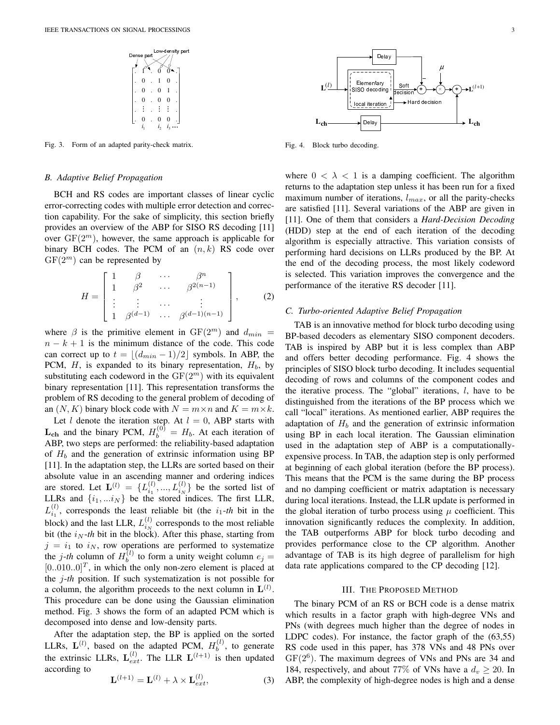

Fig. 3. Form of an adapted parity-check matrix.

#### *B. Adaptive Belief Propagation*

BCH and RS codes are important classes of linear cyclic error-correcting codes with multiple error detection and correction capability. For the sake of simplicity, this section briefly provides an overview of the ABP for SISO RS decoding [11] over  $GF(2^m)$ , however, the same approach is applicable for binary BCH codes. The PCM of an  $(n, k)$  RS code over  $GF(2<sup>m</sup>)$  can be represented by

$$
H = \begin{bmatrix} 1 & \beta & \cdots & \beta^n \\ 1 & \beta^2 & \cdots & \beta^{2(n-1)} \\ \vdots & \vdots & \cdots & \vdots \\ 1 & \beta^{(d-1)} & \cdots & \beta^{(d-1)(n-1)} \end{bmatrix}, \quad (2)
$$

where  $\beta$  is the primitive element in  $GF(2^m)$  and  $d_{min}$  =  $n - k + 1$  is the minimum distance of the code. This code can correct up to  $t = |(d_{min} - 1)/2|$  symbols. In ABP, the PCM,  $H$ , is expanded to its binary representation,  $H<sub>b</sub>$ , by substituting each codeword in the  $GF(2<sup>m</sup>)$  with its equivalent binary representation [11]. This representation transforms the problem of RS decoding to the general problem of decoding of an  $(N, K)$  binary block code with  $N = m \times n$  and  $K = m \times k$ .

Let  $l$  denote the iteration step. At  $l = 0$ , ABP starts with  $\mathbf{L_{ch}}$  and the binary PCM,  $H_b^{(0)} = H_b$ . At each iteration of ABP, two steps are performed: the reliability-based adaptation of  $H_b$  and the generation of extrinsic information using BP [11]. In the adaptation step, the LLRs are sorted based on their absolute value in an ascending manner and ordering indices are stored. Let  $\mathbf{L}^{(l)} = \{L_{i_1}^{(l)},..., L_{i_N}^{(l)}\}$  be the sorted list of LLRs and  $\{i_1, \ldots i_N\}$  be the stored indices. The first LLR,  $L_{i_1}^{(l)}$ , corresponds the least reliable bit (the  $i_1$ -th bit in the block) and the last LLR,  $L_{i_N}^{(l)}$  corresponds to the most reliable bit (the  $i_N$ -th bit in the block). After this phase, starting from  $j = i_1$  to  $i_N$ , row operations are performed to systematize the *j*-th column of  $H_b^{(l)}$  $b_b^{(t)}$  to form a unity weight column  $e_j =$  $[0..010..0]^T$ , in which the only non-zero element is placed at the j-*th* position. If such systematization is not possible for a column, the algorithm proceeds to the next column in  $\mathbf{L}^{(l)}$ . This procedure can be done using the Gaussian elimination method. Fig. 3 shows the form of an adapted PCM which is decomposed into dense and low-density parts.

After the adaptation step, the BP is applied on the sorted LLRs,  $\mathbf{L}^{(l)}$ , based on the adapted PCM,  $H_h^{(l)}$  $b^{(i)}$ , to generate the extrinsic LLRs,  $\mathbf{L}_{ext}^{(l)}$ . The LLR  $\mathbf{L}^{(l+1)}$  is then updated according to

$$
\mathbf{L}^{(l+1)} = \mathbf{L}^{(l)} + \lambda \times \mathbf{L}_{ext}^{(l)},\tag{3}
$$



Fig. 4. Block turbo decoding.

where  $0 < \lambda < 1$  is a damping coefficient. The algorithm returns to the adaptation step unless it has been run for a fixed maximum number of iterations,  $l_{max}$ , or all the parity-checks are satisfied [11]. Several variations of the ABP are given in [11]. One of them that considers a *Hard-Decision Decoding* (HDD) step at the end of each iteration of the decoding algorithm is especially attractive. This variation consists of performing hard decisions on LLRs produced by the BP. At the end of the decoding process, the most likely codeword is selected. This variation improves the convergence and the performance of the iterative RS decoder [11].

#### *C. Turbo-oriented Adaptive Belief Propagation*

TAB is an innovative method for block turbo decoding using BP-based decoders as elementary SISO component decoders. TAB is inspired by ABP but it is less complex than ABP and offers better decoding performance. Fig. 4 shows the principles of SISO block turbo decoding. It includes sequential decoding of rows and columns of the component codes and the iterative process. The "global" iterations,  $l$ , have to be distinguished from the iterations of the BP process which we call "local" iterations. As mentioned earlier, ABP requires the adaptation of  $H_b$  and the generation of extrinsic information using BP in each local iteration. The Gaussian elimination used in the adaptation step of ABP is a computationallyexpensive process. In TAB, the adaption step is only performed at beginning of each global iteration (before the BP process). This means that the PCM is the same during the BP process and no damping coefficient or matrix adaptation is necessary during local iterations. Instead, the LLR update is performed in the global iteration of turbo process using  $\mu$  coefficient. This innovation significantly reduces the complexity. In addition, the TAB outperforms ABP for block turbo decoding and provides performance close to the CP algorithm. Another advantage of TAB is its high degree of parallelism for high data rate applications compared to the CP decoding [12].

#### III. THE PROPOSED METHOD

The binary PCM of an RS or BCH code is a dense matrix which results in a factor graph with high-degree VNs and PNs (with degrees much higher than the degree of nodes in LDPC codes). For instance, the factor graph of the (63,55) RS code used in this paper, has 378 VNs and 48 PNs over  $GF(2^6)$ . The maximum degrees of VNs and PNs are 34 and 184, respectively, and about 77% of VNs have a  $d_v \ge 20$ . In ABP, the complexity of high-degree nodes is high and a dense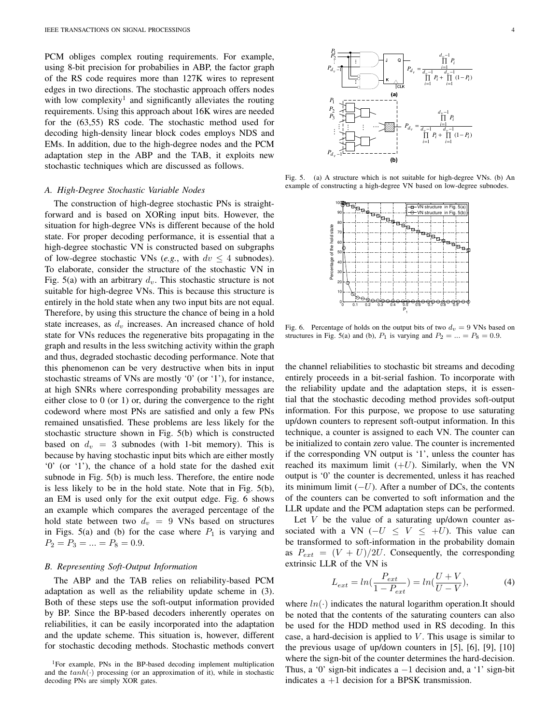PCM obliges complex routing requirements. For example, using 8-bit precision for probabilies in ABP, the factor graph of the RS code requires more than 127K wires to represent edges in two directions. The stochastic approach offers nodes with low complexity<sup>1</sup> and significantly alleviates the routing requirements. Using this approach about 16K wires are needed for the (63,55) RS code. The stochastic method used for decoding high-density linear block codes employs NDS and EMs. In addition, due to the high-degree nodes and the PCM adaptation step in the ABP and the TAB, it exploits new stochastic techniques which are discussed as follows.

#### *A. High-Degree Stochastic Variable Nodes*

The construction of high-degree stochastic PNs is straightforward and is based on XORing input bits. However, the situation for high-degree VNs is different because of the hold state. For proper decoding performance, it is essential that a high-degree stochastic VN is constructed based on subgraphs of low-degree stochastic VNs (*e.g.*, with  $dv \leq 4$  subnodes). To elaborate, consider the structure of the stochastic VN in Fig. 5(a) with an arbitrary  $d<sub>v</sub>$ . This stochastic structure is not suitable for high-degree VNs. This is because this structure is entirely in the hold state when any two input bits are not equal. Therefore, by using this structure the chance of being in a hold state increases, as  $d_v$  increases. An increased chance of hold state for VNs reduces the regenerative bits propagating in the graph and results in the less switching activity within the graph and thus, degraded stochastic decoding performance. Note that this phenomenon can be very destructive when bits in input stochastic streams of VNs are mostly '0' (or '1'), for instance, at high SNRs where corresponding probability messages are either close to 0 (or 1) or, during the convergence to the right codeword where most PNs are satisfied and only a few PNs remained unsatisfied. These problems are less likely for the stochastic structure shown in Fig. 5(b) which is constructed based on  $d_v = 3$  subnodes (with 1-bit memory). This is because by having stochastic input bits which are either mostly '0' (or '1'), the chance of a hold state for the dashed exit subnode in Fig. 5(b) is much less. Therefore, the entire node is less likely to be in the hold state. Note that in Fig. 5(b), an EM is used only for the exit output edge. Fig. 6 shows an example which compares the averaged percentage of the hold state between two  $d_v = 9$  VNs based on structures in Figs. 5(a) and (b) for the case where  $P_1$  is varying and  $P_2 = P_3 = ... = P_8 = 0.9.$ 

#### *B. Representing Soft-Output Information*

The ABP and the TAB relies on reliability-based PCM adaptation as well as the reliability update scheme in (3). Both of these steps use the soft-output information provided by BP. Since the BP-based decoders inherently operates on reliabilities, it can be easily incorporated into the adaptation and the update scheme. This situation is, however, different for stochastic decoding methods. Stochastic methods convert



Fig. 5. (a) A structure which is not suitable for high-degree VNs. (b) An example of constructing a high-degree VN based on low-degree subnodes.



Fig. 6. Percentage of holds on the output bits of two  $d_v = 9$  VNs based on structures in Fig. 5(a) and (b),  $P_1$  is varying and  $P_2 = ... = P_8 = 0.9$ .

the channel reliabilities to stochastic bit streams and decoding entirely proceeds in a bit-serial fashion. To incorporate with the reliability update and the adaptation steps, it is essential that the stochastic decoding method provides soft-output information. For this purpose, we propose to use saturating up/down counters to represent soft-output information. In this technique, a counter is assigned to each VN. The counter can be initialized to contain zero value. The counter is incremented if the corresponding VN output is '1', unless the counter has reached its maximum limit  $(+U)$ . Similarly, when the VN output is '0' the counter is decremented, unless it has reached its minimum limit  $(-U)$ . After a number of DCs, the contents of the counters can be converted to soft information and the LLR update and the PCM adaptation steps can be performed.

Let  $V$  be the value of a saturating up/down counter associated with a VN ( $-U \leq V \leq +U$ ). This value can be transformed to soft-information in the probability domain as  $P_{ext} = (V + U)/2U$ . Consequently, the corresponding extrinsic LLR of the VN is

$$
L_{ext} = ln(\frac{P_{ext}}{1 - P_{ext}}) = ln(\frac{U + V}{U - V}),
$$
 (4)

where  $ln(·)$  indicates the natural logarithm operation.It should be noted that the contents of the saturating counters can also be used for the HDD method used in RS decoding. In this case, a hard-decision is applied to  $V$ . This usage is similar to the previous usage of up/down counters in [5], [6], [9], [10] where the sign-bit of the counter determines the hard-decision. Thus, a '0' sign-bit indicates a  $-1$  decision and, a '1' sign-bit indicates  $a + 1$  decision for a BPSK transmission.

<sup>&</sup>lt;sup>1</sup>For example, PNs in the BP-based decoding implement multiplication and the  $tanh(\cdot)$  processing (or an approximation of it), while in stochastic decoding PNs are simply XOR gates.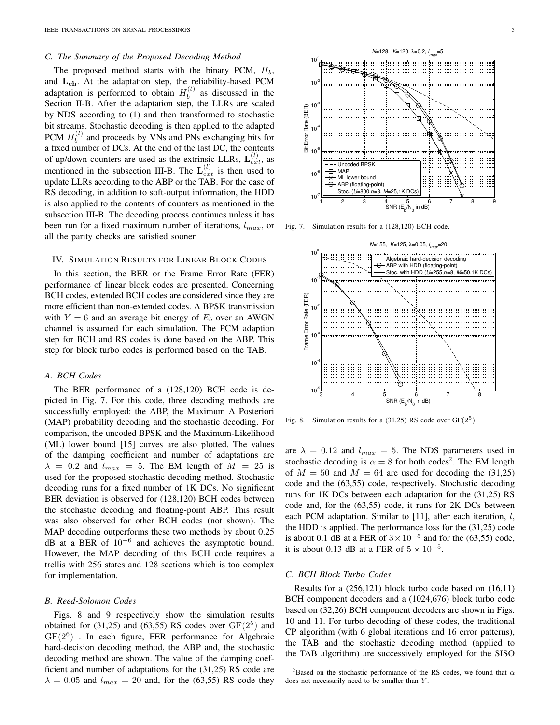#### *C. The Summary of the Proposed Decoding Method*

The proposed method starts with the binary PCM,  $H_b$ , and  $L_{ch}$ . At the adaptation step, the reliability-based PCM adaptation is performed to obtain  $H_h^{(l)}$  $b^{(i)}$  as discussed in the Section II-B. After the adaptation step, the LLRs are scaled by NDS according to (1) and then transformed to stochastic bit streams. Stochastic decoding is then applied to the adapted PCM  $H_b^{(l)}$  $b<sub>b</sub>$  and proceeds by VNs and PNs exchanging bits for a fixed number of DCs. At the end of the last DC, the contents of up/down counters are used as the extrinsic LLRs,  $\mathbf{L}_{ext}^{(l)}$ , as mentioned in the subsection III-B. The  $\mathbf{L}_{ext}^{(l)}$  is then used to update LLRs according to the ABP or the TAB. For the case of RS decoding, in addition to soft-output information, the HDD is also applied to the contents of counters as mentioned in the subsection III-B. The decoding process continues unless it has been run for a fixed maximum number of iterations,  $l_{max}$ , or all the parity checks are satisfied sooner.

#### IV. SIMULATION RESULTS FOR LINEAR BLOCK CODES

In this section, the BER or the Frame Error Rate (FER) performance of linear block codes are presented. Concerning BCH codes, extended BCH codes are considered since they are more efficient than non-extended codes. A BPSK transmission with  $Y = 6$  and an average bit energy of  $E_b$  over an AWGN channel is assumed for each simulation. The PCM adaption step for BCH and RS codes is done based on the ABP. This step for block turbo codes is performed based on the TAB.

#### *A. BCH Codes*

The BER performance of a (128,120) BCH code is depicted in Fig. 7. For this code, three decoding methods are successfully employed: the ABP, the Maximum A Posteriori (MAP) probability decoding and the stochastic decoding. For comparison, the uncoded BPSK and the Maximum-Likelihood (ML) lower bound [15] curves are also plotted. The values of the damping coefficient and number of adaptations are  $\lambda = 0.2$  and  $l_{max} = 5$ . The EM length of  $M = 25$  is used for the proposed stochastic decoding method. Stochastic decoding runs for a fixed number of 1K DCs. No significant BER deviation is observed for (128,120) BCH codes between the stochastic decoding and floating-point ABP. This result was also observed for other BCH codes (not shown). The MAP decoding outperforms these two methods by about 0.25 dB at a BER of 10−<sup>6</sup> and achieves the asymptotic bound. However, the MAP decoding of this BCH code requires a trellis with 256 states and 128 sections which is too complex for implementation.

#### *B. Reed-Solomon Codes*

Figs. 8 and 9 respectively show the simulation results obtained for  $(31,25)$  and  $(63,55)$  RS codes over  $GF(2^5)$  and  $GF(2^6)$  . In each figure, FER performance for Algebraic hard-decision decoding method, the ABP and, the stochastic decoding method are shown. The value of the damping coefficient and number of adaptations for the (31,25) RS code are  $\lambda = 0.05$  and  $l_{max} = 20$  and, for the (63,55) RS code they



Fig. 7. Simulation results for a (128,120) BCH code.



Fig. 8. Simulation results for a  $(31,25)$  RS code over GF $(2^5)$ .

are  $\lambda = 0.12$  and  $l_{max} = 5$ . The NDS parameters used in stochastic decoding is  $\alpha = 8$  for both codes<sup>2</sup>. The EM length of  $M = 50$  and  $M = 64$  are used for decoding the (31,25) code and the (63,55) code, respectively. Stochastic decoding runs for 1K DCs between each adaptation for the (31,25) RS code and, for the (63,55) code, it runs for 2K DCs between each PCM adaptation. Similar to  $[11]$ , after each iteration, l, the HDD is applied. The performance loss for the (31,25) code is about 0.1 dB at a FER of  $3 \times 10^{-5}$  and for the (63,55) code, it is about 0.13 dB at a FER of  $5 \times 10^{-5}$ .

#### *C. BCH Block Turbo Codes*

Results for a (256,121) block turbo code based on (16,11) BCH component decoders and a (1024,676) block turbo code based on (32,26) BCH component decoders are shown in Figs. 10 and 11. For turbo decoding of these codes, the traditional CP algorithm (with 6 global iterations and 16 error patterns), the TAB and the stochastic decoding method (applied to the TAB algorithm) are successively employed for the SISO

<sup>2</sup>Based on the stochastic performance of the RS codes, we found that  $\alpha$ does not necessarily need to be smaller than Y.